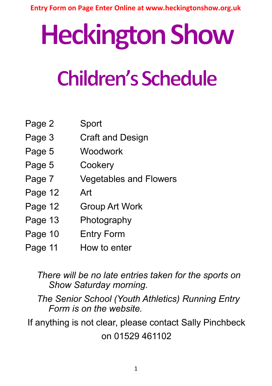# **Heckington Show**

# **Children's Schedule**

| Page 2 | Sport |
|--------|-------|
|--------|-------|

- Page 3 Craft and Design
- Page 5 Woodwork
- Page 5 Cookery
- Page 7 Vegetables and Flowers
- Page 12 Art
- Page 12 Group Art Work
- Page 13 Photography
- Page 10 Entry Form
- Page 11 How to enter

*There will be no late entries taken for the sports on Show Saturday morning.* 

*The Senior School (Youth Athletics) Running Entry Form is on the website.* 

If anything is not clear, please contact Sally Pinchbeck on 01529 461102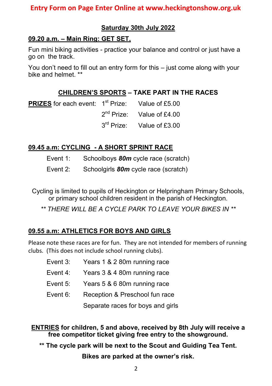#### **Saturday 30th July 2022**

#### **09.20 a.m. – Main Ring: GET SET,**

Fun mini biking activities - practice your balance and control or just have a go on the track.

You don't need to fill out an entry form for this – just come along with your bike and helmet \*\*

#### **CHILDREN'S SPORTS – TAKE PART IN THE RACES**

| <b>PRIZES</b> for each event: 1 <sup>st</sup> Prize: Value of £5.00 |                                       |
|---------------------------------------------------------------------|---------------------------------------|
|                                                                     | $2^{nd}$ Prize: Value of £4.00        |
|                                                                     | 3 <sup>rd</sup> Prize: Value of £3.00 |

#### **09.45 a.m: CYCLING - A SHORT SPRINT RACE**

Event 1: Schoolboys *80m* cycle race (scratch)

Event 2: Schoolgirls *80m* cycle race (scratch)

Cycling is limited to pupils of Heckington or Helpringham Primary Schools, or primary school children resident in the parish of Heckington.

*\*\* THERE WILL BE A CYCLE PARK TO LEAVE YOUR BIKES IN \*\**

#### **09.55 a.m: ATHLETICS FOR BOYS AND GIRLS**

Please note these races are for fun. They are not intended for members of running clubs. (This does not include school running clubs).

| Event 3:    | Years 1 & 2 80m running race      |
|-------------|-----------------------------------|
| Event $4$ : | Years 3 & 4 80m running race      |
| Event $5:$  | Years 5 & 6 80m running race      |
| Event $6$ : | Reception & Preschool fun race    |
|             | Separate races for boys and girls |

#### **ENTRIES for children, 5 and above, received by 8th July will receive a free competitor ticket giving free entry to the showground.**

**\*\* The cycle park will be next to the Scout and Guiding Tea Tent.**

**Bikes are parked at the owner's risk.**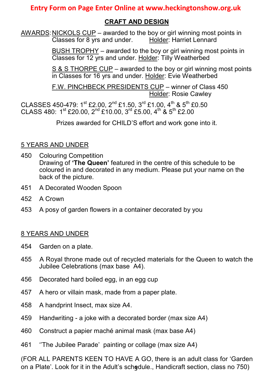#### **CRAFT AND DESIGN**

 $\frac{\text{AWARDS: NICKOLS CUP}}{\text{Classes for 8 vrs and under.}}$  Holder: Harriet Lennard  $\overline{\text{Classes}}$  for 8 yrs and under.

> BUSH TROPHY – awarded to the boy or girl winning most points in Classes for 12 yrs and under. Holder: Tilly Weatherbed

S & S THORPE CUP – awarded to the boy or girl winning most points in Classes for 16 yrs and under. Holder: Evie Weatherbed

F.W. PINCHBECK PRESIDENTS CUP – winner of Class 450 Holder: Rosie Cawley

CLASSES 450-479: 1<sup>st</sup> £2.00, 2<sup>nd</sup> £1.50, 3<sup>rd</sup> £1.00, 4<sup>th</sup> & 5<sup>th</sup> £0.50  $\,$  CLASS 480: 1 $^{\rm st}$  £20.00, 2 $^{\rm nd}$  £10.00, 3 $^{\rm rd}$  £5.00, 4 $^{\rm th}$  & 5 $^{\rm th}$  £2.00

Prizes awarded for CHILD'S effort and work gone into it.

#### 5 YEARS AND UNDER

- 450 Colouring Competition Drawing of **'The Queen'** featured in the centre of this schedule to be coloured in and decorated in any medium. Please put your name on the back of the picture.
- 451 A Decorated Wooden Spoon
- 452 A Crown
- 453 A posy of garden flowers in a container decorated by you

#### 8 YEARS AND UNDER

- 454 Garden on a plate.
- 455 A Royal throne made out of recycled materials for the Queen to watch the Jubilee Celebrations (max base A4).
- 456 Decorated hard boiled egg, in an egg cup
- 457 A hero or villain mask, made from a paper plate.
- 458 A handprint Insect, max size A4.
- 459 Handwriting a joke with a decorated border (max size A4)
- 460 Construct a papier maché animal mask (max base A4)
- 461 ''The Jubilee Parade' painting or collage (max size A4)

on a Plate'. Look for it in the Adult's sch<del>g</del>dule., Handicraft section, class no 750) (FOR ALL PARENTS KEEN TO HAVE A GO, there is an adult class for 'Garden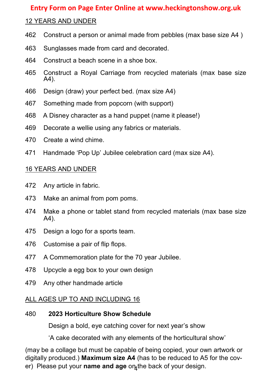#### 12 YEARS AND UNDER

- 462 Construct a person or animal made from pebbles (max base size A4 )
- 463 Sunglasses made from card and decorated.
- 464 Construct a beach scene in a shoe box.
- 465 Construct a Royal Carriage from recycled materials (max base size A4).
- 466 Design (draw) your perfect bed. (max size A4)
- 467 Something made from popcorn (with support)
- 468 A Disney character as a hand puppet (name it please!)
- 469 Decorate a wellie using any fabrics or materials.
- 470 Create a wind chime.
- 471 Handmade 'Pop Up' Jubilee celebration card (max size A4).

#### 16 YEARS AND UNDER

- 472 Any article in fabric.
- 473 Make an animal from pom poms.
- 474 Make a phone or tablet stand from recycled materials (max base size A4).
- 475 Design a logo for a sports team.
- 476 Customise a pair of flip flops.
- 477 A Commemoration plate for the 70 year Jubilee.
- 478 Upcycle a egg box to your own design
- 479 Any other handmade article

#### ALL AGES UP TO AND INCLUDING 16

#### 480 **2023 Horticulture Show Schedule**

Design a bold, eye catching cover for next year's show

'A cake decorated with any elements of the horticultural show'

er) Please put your **name and age** on<sub>4</sub>the back of your design. (may be a collage but must be capable of being copied, your own artwork or digitally produced.) **Maximum size A4** (has to be reduced to A5 for the cov-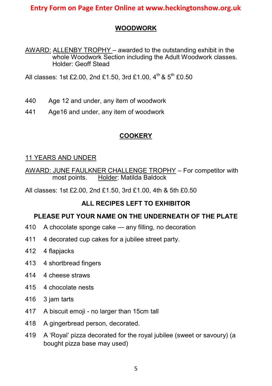#### **WOODWORK**

AWARD: ALLENBY TROPHY – awarded to the outstanding exhibit in the whole Woodwork Section including the Adult Woodwork classes. Holder: Geoff Stead

All classes: 1st £2.00, 2nd £1.50, 3rd £1.00,  $4^{th}$  &  $5^{th}$  £0.50

- 440 Age 12 and under, any item of woodwork
- 441 Age16 and under, any item of woodwork

#### **COOKERY**

#### 11 YEARS AND UNDER

AWARD: JUNE FAULKNER CHALLENGE TROPHY – For competitor with most points. Holder: Matilda Baldock

All classes: 1st £2.00, 2nd £1.50, 3rd £1.00, 4th & 5th £0.50

#### **ALL RECIPES LEFT TO EXHIBITOR**

#### **PLEASE PUT YOUR NAME ON THE UNDERNEATH OF THE PLATE**

- 410 A chocolate sponge cake any filling, no decoration
- 411 4 decorated cup cakes for a jubilee street party.
- 412 4 flapjacks
- 413 4 shortbread fingers
- 414 4 cheese straws
- 415 4 chocolate nests
- 416 3 jam tarts
- 417 A biscuit emoji no larger than 15cm tall
- 418 A gingerbread person, decorated.
- 419 A 'Royal' pizza decorated for the royal jubilee (sweet or savoury) (a bought pizza base may used)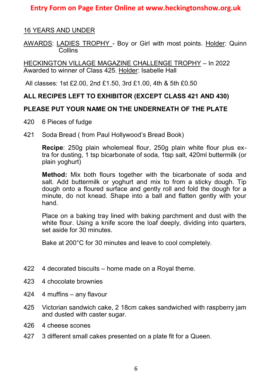#### 16 YEARS AND UNDER

AWARDS: LADIES TROPHY - Boy or Girl with most points. Holder: Quinn **Collins** 

HECKINGTON VILLAGE MAGAZINE CHALLENGE TROPHY – In 2022 Awarded to winner of Class 425. Holder: Isabelle Hall

All classes: 1st £2.00, 2nd £1.50, 3rd £1.00, 4th & 5th £0.50

#### **ALL RECIPES LEFT TO EXHIBITOR (EXCEPT CLASS 421 AND 430)**

#### **PLEASE PUT YOUR NAME ON THE UNDERNEATH OF THE PLATE**

- 420 6 Pieces of fudge
- 421 Soda Bread ( from Paul Hollywood's Bread Book)

**Recipe**: 250g plain wholemeal flour, 250g plain white flour plus extra for dusting, 1 tsp bicarbonate of soda, 1tsp salt, 420ml buttermilk (or plain yoghurt)

**Method:** Mix both flours together with the bicarbonate of soda and salt. Add buttermilk or yoghurt and mix to from a sticky dough. Tip dough onto a floured surface and gently roll and fold the dough for a minute, do not knead. Shape into a ball and flatten gently with your hand.

Place on a baking tray lined with baking parchment and dust with the white flour. Using a knife score the loaf deeply, dividing into quarters, set aside for 30 minutes.

Bake at 200°C for 30 minutes and leave to cool completely.

- 422 4 decorated biscuits home made on a Royal theme.
- 423 4 chocolate brownies
- 424 4 muffins any flavour
- 425 Victorian sandwich cake, 2 18cm cakes sandwiched with raspberry jam and dusted with caster sugar.
- 426 4 cheese scones
- 427 3 different small cakes presented on a plate fit for a Queen.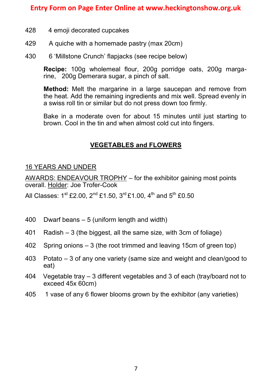- 428 4 emoji decorated cupcakes
- 429 A quiche with a homemade pastry (max 20cm)
- 430 6 'Millstone Crunch' flapjacks (see recipe below)

**Recipe:** 100g wholemeal flour, 200g porridge oats, 200g margarine, 200g Demerara sugar, a pinch of salt.

**Method:** Melt the margarine in a large saucepan and remove from the heat. Add the remaining ingredients and mix well. Spread evenly in a swiss roll tin or similar but do not press down too firmly.

Bake in a moderate oven for about 15 minutes until just starting to brown. Cool in the tin and when almost cold cut into fingers.

#### **VEGETABLES and FLOWERS**

#### 16 YEARS AND UNDER

AWARDS: ENDEAVOUR TROPHY – for the exhibitor gaining most points overall. Holder: Joe Trofer-Cook

All Classes:  $1^{st}$  £2.00,  $2^{nd}$  £1.50,  $3^{rd}$  £1.00,  $4^{th}$  and  $5^{th}$  £0.50

- 400 Dwarf beans 5 (uniform length and width)
- 401 Radish 3 (the biggest, all the same size, with 3cm of foliage)
- 402 Spring onions 3 (the root trimmed and leaving 15cm of green top)
- 403 Potato 3 of any one variety (same size and weight and clean/good to eat)
- 404 Vegetable tray 3 different vegetables and 3 of each (tray/board not to exceed 45x 60cm)
- 405 1 vase of any 6 flower blooms grown by the exhibitor (any varieties)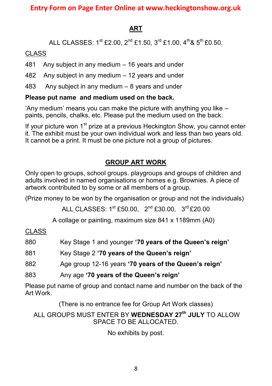#### **ART**

ALL CLASSES:  $1^{st}$  £2.00,  $2^{nd}$  £1.50,  $3^{rd}$  £1.00,  $4^{th}$ &  $5^{th}$  £0.50.

#### CLASS

481 Any subject in any medium – 16 years and under

482 Any subject in any medium – 12 years and under

483 Any subject in any medium – 8 years and under

#### **Please put name and medium used on the back.**

'Any medium' means you can make the picture with anything you like – paints, pencils, chalks, etc. Please put the medium used on the back.

If your picture won  $1<sup>st</sup>$  prize at a previous Heckington Show, you cannot enter it. The exhibit must be your own individual work and less than two years old. It cannot be a print. It must be one picture not a group of pictures.

#### **GROUP ART WORK**

Only open to groups, school groups. playgroups and groups of children and adults involved in named organisations or homes e.g. Brownies. A piece of artwork contributed to by some or all members of a group.

(Prize money to be won by the organisation or group and not the individuals)

ALL CLASSES: 1st £50.00, 2nd £30.00, 3rd £20.00

A collage or painting, maximum size 841 x 1189mm (A0)

CLASS

| 880 | Key Stage 1 and younger '70 years of the Queen's reign'             |
|-----|---------------------------------------------------------------------|
| 881 | Key Stage 2 '70 years of the Queen's reign'                         |
| 882 | Age group 12-16 years '70 years of the Queen's reign'               |
| 883 | Any age '70 years of the Queen's reign'                             |
|     | Dlogge put name of group and contact name and number on the heak of |

Please put name of group and contact name and number on the back of the Art Work.

(There is no entrance fee for Group Art Work classes)

ALL GROUPS MUST ENTER BY **WEDNESDAY 27th JULY** TO ALLOW SPACE TO BE ALLOCATED.

No exhibits by post.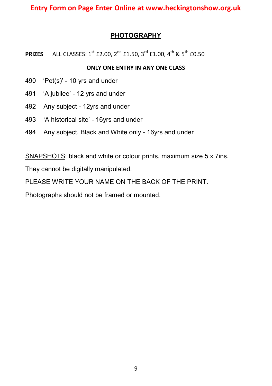#### **PHOTOGRAPHY**

**PRIZES** ALL CLASSES:  $1^{st}$  £2.00,  $2^{nd}$  £1.50,  $3^{rd}$  £1.00,  $4^{th}$  &  $5^{th}$  £0.50

#### **ONLY ONE ENTRY IN ANY ONE CLASS**

- 490 'Pet(s)' 10 yrs and under
- 491 'A jubilee' 12 yrs and under
- 492 Any subject 12yrs and under
- 493 'A historical site' 16yrs and under
- 494 Any subject, Black and White only 16yrs and under

SNAPSHOTS: black and white or colour prints, maximum size 5 x 7ins.

They cannot be digitally manipulated.

PLEASE WRITE YOUR NAME ON THE BACK OF THE PRINT.

Photographs should not be framed or mounted.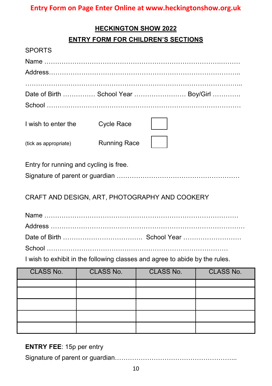#### **HECKINGTON SHOW 2022**

#### **ENTRY FORM FOR CHILDREN'S SECTIONS**

| <b>SPORTS</b>                                                               |                                      |                  |                  |
|-----------------------------------------------------------------------------|--------------------------------------|------------------|------------------|
|                                                                             |                                      |                  |                  |
|                                                                             |                                      |                  |                  |
|                                                                             |                                      |                  |                  |
|                                                                             | Date of Birth  School Year  Boy/Girl |                  |                  |
|                                                                             |                                      |                  |                  |
| I wish to enter the                                                         | <b>Cycle Race</b>                    |                  |                  |
| (tick as appropriate)                                                       | <b>Running Race</b>                  |                  |                  |
| Entry for running and cycling is free.                                      |                                      |                  |                  |
|                                                                             |                                      |                  |                  |
|                                                                             |                                      |                  |                  |
| CRAFT AND DESIGN, ART, PHOTOGRAPHY AND COOKERY                              |                                      |                  |                  |
|                                                                             |                                      |                  |                  |
|                                                                             |                                      |                  |                  |
|                                                                             |                                      |                  |                  |
|                                                                             |                                      |                  |                  |
| I wish to exhibit in the following classes and agree to abide by the rules. |                                      |                  |                  |
| <b>CLASS No.</b>                                                            | <b>CLASS No.</b>                     | <b>CLASS No.</b> | <b>CLASS No.</b> |
|                                                                             |                                      |                  |                  |
|                                                                             |                                      |                  |                  |

**ENTRY FEE**: 15p per entry

Signature of parent or guardian………………………………………………...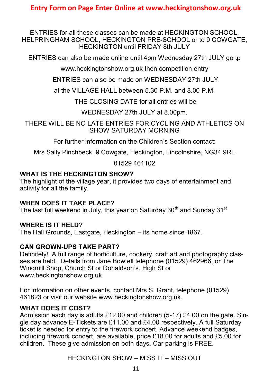ENTRIES for all these classes can be made at HECKINGTON SCHOOL, HELPRINGHAM SCHOOL, HECKINGTON PRE-SCHOOL or to 9 COWGATE, HECKINGTON until FRIDAY 8th JULY

ENTRIES can also be made online until 4pm Wednesday 27th JULY go tp

www.heckingtonshow.org.uk then competition entry

ENTRIES can also be made on WEDNESDAY 27th JULY.

at the VILLAGE HALL between 5.30 P.M. and 8.00 P.M.

THE CLOSING DATE for all entries will be

WEDNESDAY 27th JULY at 8.00pm.

THERE WILL BE NO LATE ENTRIES FOR CYCLING AND ATHLETICS ON SHOW SATURDAY MORNING

For further information on the Children's Section contact:

Mrs Sally Pinchbeck, 9 Cowgate, Heckington, Lincolnshire, NG34 9RL

01529 461102

#### **WHAT IS THE HECKINGTON SHOW?**

The highlight of the village year, it provides two days of entertainment and activity for all the family.

#### **WHEN DOES IT TAKE PLACE?**

The last full weekend in July, this year on Saturday  $30<sup>th</sup>$  and Sunday  $31<sup>st</sup>$ 

#### **WHERE IS IT HELD?**

The Hall Grounds, Eastgate, Heckington – its home since 1867.

#### **CAN GROWN-UPS TAKE PART?**

Definitely! A full range of horticulture, cookery, craft art and photography classes are held. Details from Jane Bowtell telephone (01529) 462966, or The Windmill Shop, Church St or Donaldson's, High St or www.heckingtonshow.org.uk

For information on other events, contact Mrs S. Grant, telephone (01529) 461823 or visit our website www.heckingtonshow.org.uk.

#### **WHAT DOES IT COST?**

Admission each day is adults £12.00 and children (5-17) £4.00 on the gate. Single day advance E-Tickets are £11.00 and £4.00 respectively. A full Saturday ticket is needed for entry to the firework concert. Advance weekend badges, including firework concert, are available, price £18.00 for adults and £5.00 for children. These give admission on both days. Car parking is FREE.

HECKINGTON SHOW – MISS IT – MISS OUT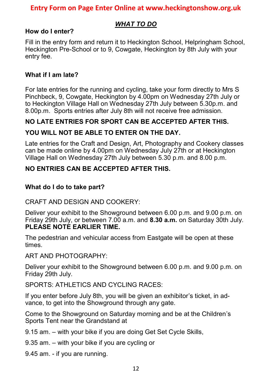#### *WHAT TO DO*

#### **How do I enter?**

Fill in the entry form and return it to Heckington School, Helpringham School, Heckington Pre-School or to 9, Cowgate, Heckington by 8th July with your entry fee.

#### **What if I am late?**

For late entries for the running and cycling, take your form directly to Mrs S Pinchbeck, 9, Cowgate, Heckington by 4.00pm on Wednesday 27th July or to Heckington Village Hall on Wednesday 27th July between 5.30p.m. and 8.00p.m. Sports entries after July 8th will not receive free admission.

#### **NO LATE ENTRIES FOR SPORT CAN BE ACCEPTED AFTER THIS.**

#### **YOU WILL NOT BE ABLE TO ENTER ON THE DAY.**

Late entries for the Craft and Design, Art, Photography and Cookery classes can be made online by 4.00pm on Wednesday July 27th or at Heckington Village Hall on Wednesday 27th July between 5.30 p.m. and 8.00 p.m.

#### **NO ENTRIES CAN BE ACCEPTED AFTER THIS.**

#### **What do I do to take part?**

#### CRAFT AND DESIGN AND COOKERY:

Deliver your exhibit to the Showground between 6.00 p.m. and 9.00 p.m. on Friday 29th July, or between 7.00 a.m. and **8.30 a.m.** on Saturday 30th July. **PLEASE NOTE FARLIER TIME.** 

The pedestrian and vehicular access from Eastgate will be open at these times.

ART AND PHOTOGRAPHY:

Deliver your exhibit to the Showground between 6.00 p.m. and 9.00 p.m. on Friday 29th July.

SPORTS: ATHLETICS AND CYCLING RACES:

If you enter before July 8th, you will be given an exhibitor's ticket, in advance, to get into the Showground through any gate.

Come to the Showground on Saturday morning and be at the Children's Sports Tent near the Grandstand at

- 9.15 am. with your bike if you are doing Get Set Cycle Skills,
- 9.35 am. with your bike if you are cycling or
- 9.45 am. if you are running.